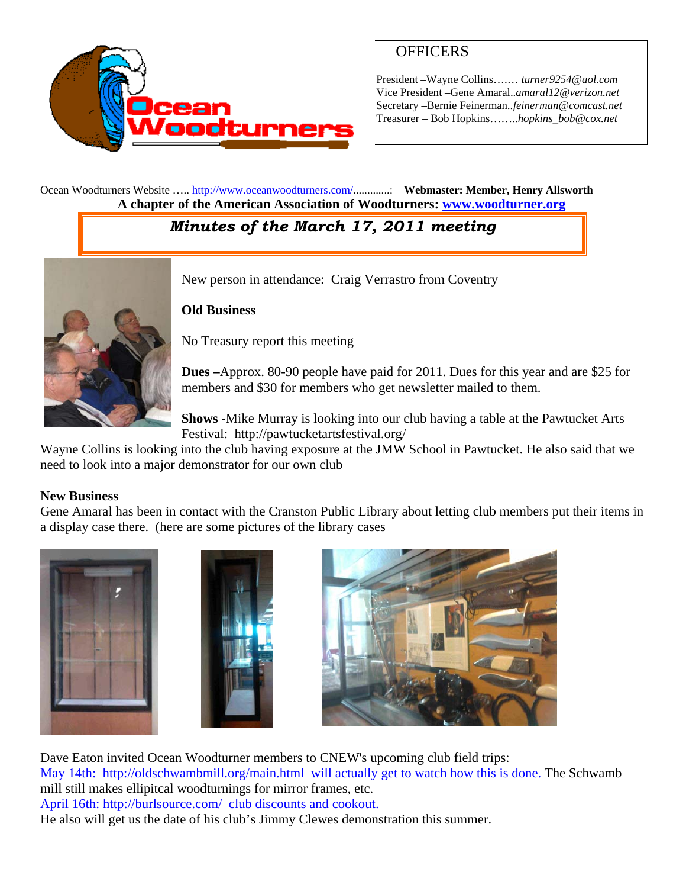

## **OFFICERS**

President –Wayne Collins….… *turner9254@aol.com*  Vice President –Gene Amaral..*amaral12@verizon.net* Secretary –Bernie Feinerman*..feinerman@comcast.net*  Treasurer – Bob Hopkins……..*hopkins\_bob@cox.net*

Ocean Woodturners Website ….. http://www.oceanwoodturners.com/.............: **Webmaster: Member, Henry Allsworth A chapter of the American Association of Woodturners: www.woodturner.org** 

# *Minutes of the March 17, 2011 meeting*



New person in attendance: Craig Verrastro from Coventry

#### **Old Business**

No Treasury report this meeting

**Dues –**Approx. 80-90 people have paid for 2011. Dues for this year and are \$25 for members and \$30 for members who get newsletter mailed to them.

**Shows** -Mike Murray is looking into our club having a table at the Pawtucket Arts Festival: http://pawtucketartsfestival.org/

Wayne Collins is looking into the club having exposure at the JMW School in Pawtucket. He also said that we need to look into a major demonstrator for our own club

#### **New Business**

Gene Amaral has been in contact with the Cranston Public Library about letting club members put their items in a display case there. (here are some pictures of the library cases







Dave Eaton invited Ocean Woodturner members to CNEW's upcoming club field trips: May 14th: http://oldschwambmill.org/main.html will actually get to watch how this is done. The Schwamb mill still makes ellipitcal woodturnings for mirror frames, etc.

April 16th: http://burlsource.com/ club discounts and cookout.

He also will get us the date of his club's Jimmy Clewes demonstration this summer.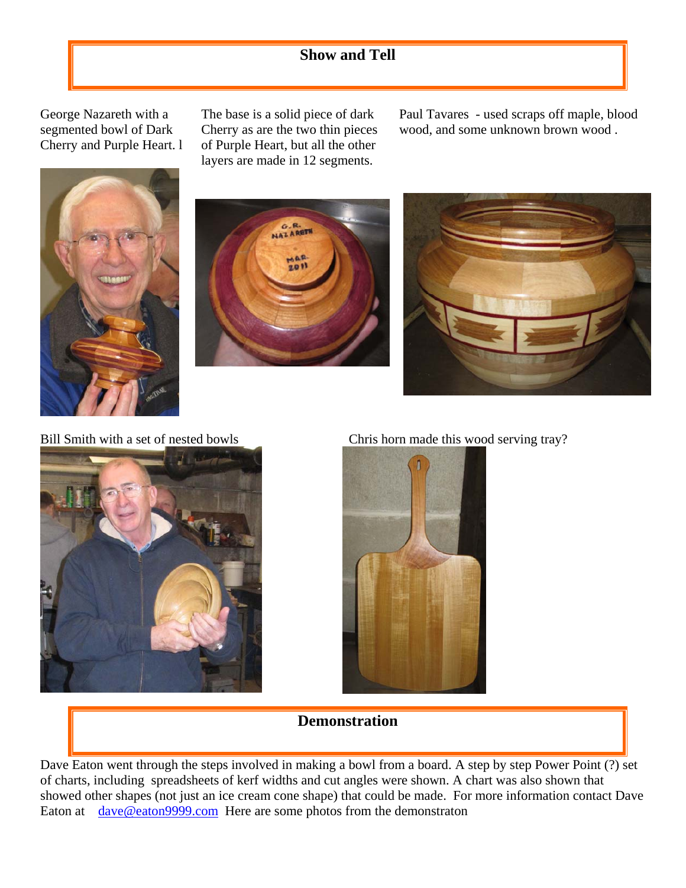# **Show and Tell**

George Nazareth with a segmented bowl of Dark Cherry and Purple Heart. l

The base is a solid piece of dark Cherry as are the two thin pieces of Purple Heart, but all the other layers are made in 12 segments.

Paul Tavares - used scraps off maple, blood wood, and some unknown brown wood .









Bill Smith with a set of nested bowls Chris horn made this wood serving tray?



### **Demonstration**

Dave Eaton went through the steps involved in making a bowl from a board. A step by step Power Point (?) set of charts, including spreadsheets of kerf widths and cut angles were shown. A chart was also shown that showed other shapes (not just an ice cream cone shape) that could be made. For more information contact Dave Eaton at dave@eaton9999.com Here are some photos from the demonstraton